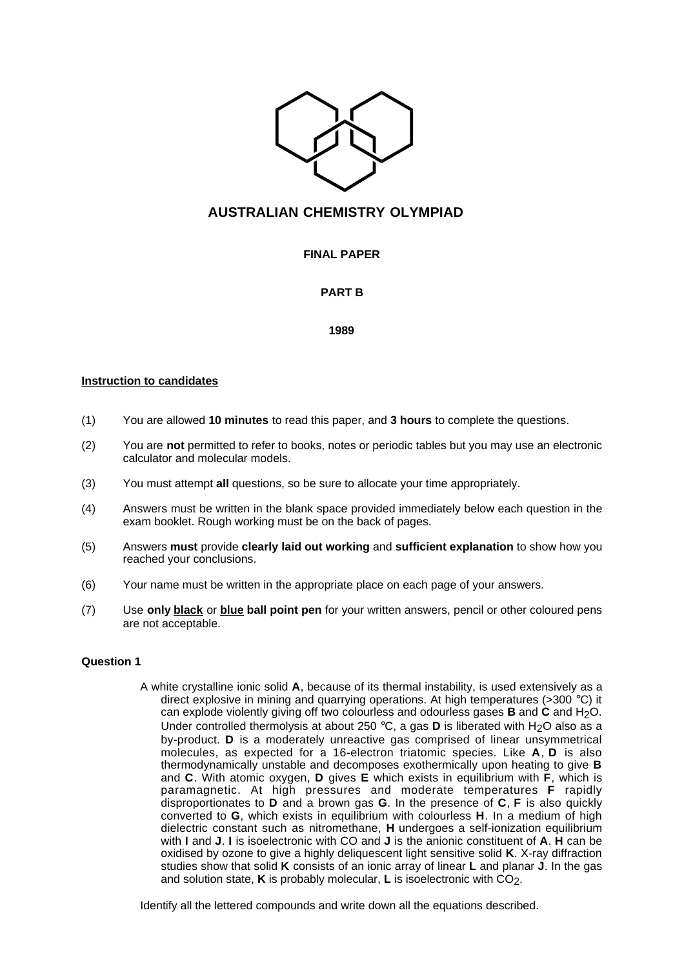

# **AUSTRALIAN CHEMISTRY OLYMPIAD**

## **FINAL PAPER**

## **PART B**

#### **1989**

### **Instruction to candidates**

- (1) You are allowed **10 minutes** to read this paper, and **3 hours** to complete the questions.
- (2) You are **not** permitted to refer to books, notes or periodic tables but you may use an electronic calculator and molecular models.
- (3) You must attempt **all** questions, so be sure to allocate your time appropriately.
- (4) Answers must be written in the blank space provided immediately below each question in the exam booklet. Rough working must be on the back of pages.
- (5) Answers **must** provide **clearly laid out working** and **sufficient explanation** to show how you reached your conclusions.
- (6) Your name must be written in the appropriate place on each page of your answers.
- (7) Use **only black** or **blue ball point pen** for your written answers, pencil or other coloured pens are not acceptable.

#### **Question 1**

A white crystalline ionic solid **A**, because of its thermal instability, is used extensively as a direct explosive in mining and quarrying operations. At high temperatures ( $>300^{\circ}$ C) it can explode violently giving off two colourless and odourless gases **B** and **C** and H2O. Under controlled thermolysis at about 250 °C, a gas **D** is liberated with H<sub>2</sub>O also as a by-product. **D** is a moderately unreactive gas comprised of linear unsymmetrical molecules, as expected for a 16-electron triatomic species. Like **A**, **D** is also thermodynamically unstable and decomposes exothermically upon heating to give **B** and **C**. With atomic oxygen, **D** gives **E** which exists in equilibrium with **F**, which is paramagnetic. At high pressures and moderate temperatures **F** rapidly disproportionates to **D** and a brown gas **G**. In the presence of **C**, **F** is also quickly converted to **G**, which exists in equilibrium with colourless **H**. In a medium of high dielectric constant such as nitromethane, **H** undergoes a self-ionization equilibrium with **I** and **J**. **I** is isoelectronic with CO and **J** is the anionic constituent of **A**. **H** can be oxidised by ozone to give a highly deliquescent light sensitive solid **K**. X-ray diffraction studies show that solid **K** consists of an ionic array of linear **L** and planar **J**. In the gas and solution state, **K** is probably molecular, **L** is isoelectronic with CO<sub>2</sub>.

Identify all the lettered compounds and write down all the equations described.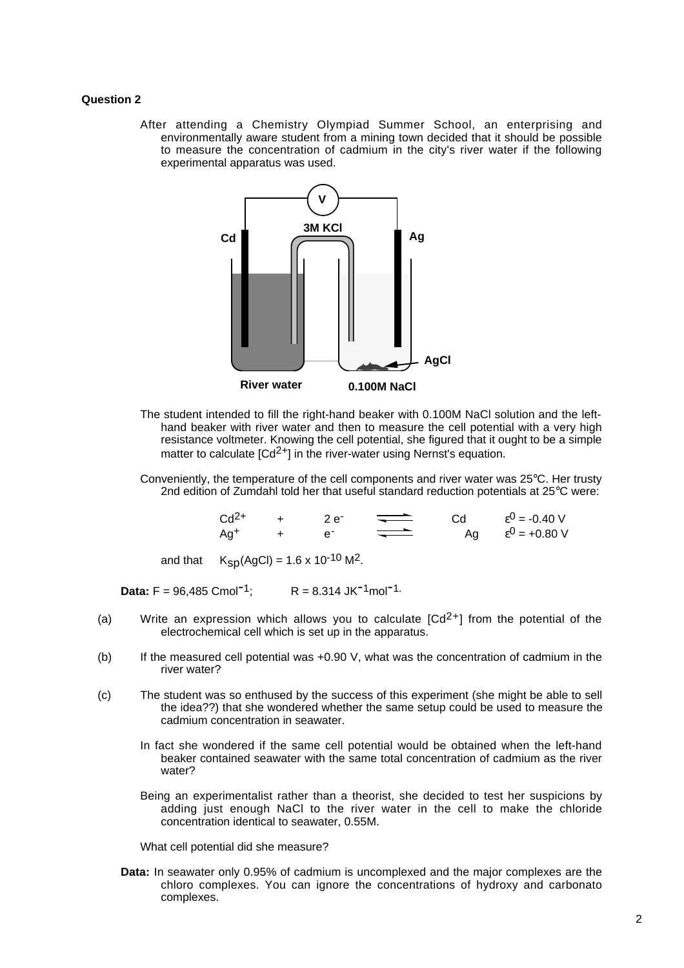#### **Question 2**

After attending a Chemistry Olympiad Summer School, an enterprising and environmentally aware student from a mining town decided that it should be possible to measure the concentration of cadmium in the city's river water if the following experimental apparatus was used.



- The student intended to fill the right-hand beaker with 0.100M NaCl solution and the lefthand beaker with river water and then to measure the cell potential with a very high resistance voltmeter. Knowing the cell potential, she figured that it ought to be a simple matter to calculate  $\lceil Cd^{2+}\rceil$  in the river-water using Nernst's equation.
- Conveniently, the temperature of the cell components and river water was 25°C. Her trusty 2nd edition of Zumdahl told her that useful standard reduction potentials at 25°C were:

| $Cd2+$ | -2 e " |  | $\varepsilon^0$ = -0.40 V |
|--------|--------|--|---------------------------|
| Ag+    |        |  | $\varepsilon^0$ = +0.80 V |

and that  $K_{SD}(AgCl) = 1.6 \times 10^{-10} M^2$ .

**Data:**  $F = 96,485$  Cmol<sup>-1</sup>;  $R = 8.314$  JK<sup>-1</sup>mol<sup>-1.</sup>

- (a) Write an expression which allows you to calculate  $\lceil \frac{cd^{2+1}}{1} \rceil$  from the potential of the electrochemical cell which is set up in the apparatus.
- (b) If the measured cell potential was +0.90 V, what was the concentration of cadmium in the river water?
- (c) The student was so enthused by the success of this experiment (she might be able to sell the idea??) that she wondered whether the same setup could be used to measure the cadmium concentration in seawater.
	- In fact she wondered if the same cell potential would be obtained when the left-hand beaker contained seawater with the same total concentration of cadmium as the river water?
	- Being an experimentalist rather than a theorist, she decided to test her suspicions by adding just enough NaCl to the river water in the cell to make the chloride concentration identical to seawater, 0.55M.

What cell potential did she measure?

**Data:** In seawater only 0.95% of cadmium is uncomplexed and the major complexes are the chloro complexes. You can ignore the concentrations of hydroxy and carbonato complexes.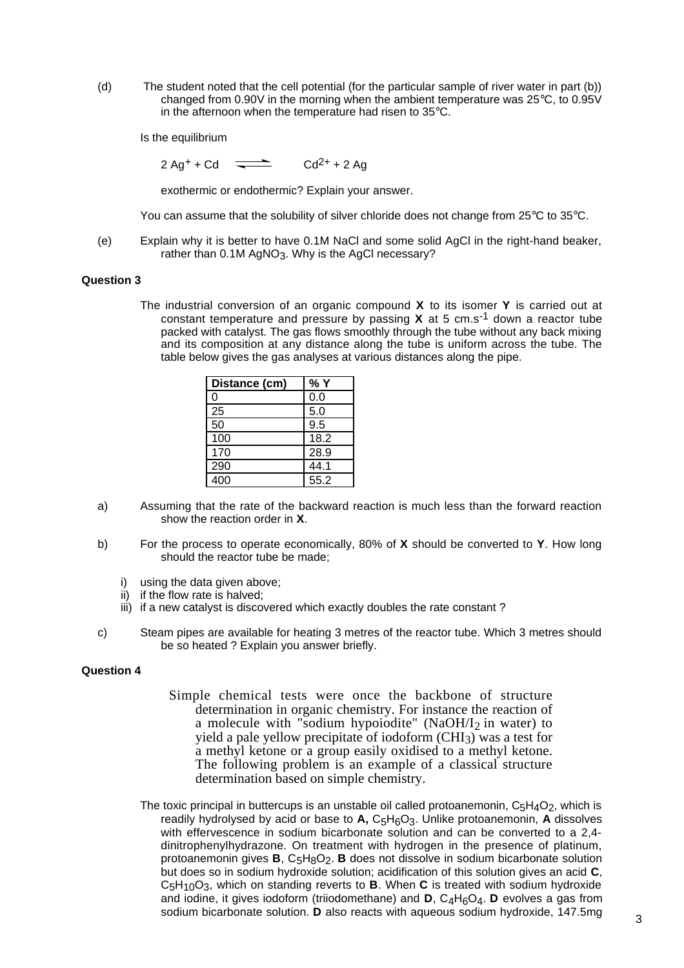(d) The student noted that the cell potential (for the particular sample of river water in part (b)) changed from 0.90V in the morning when the ambient temperature was 25°C, to 0.95V in the afternoon when the temperature had risen to 35°C.

Is the equilibrium

 $2 \text{ Ag}^+ + \text{Cd}$   $\longrightarrow$   $\text{Cd}^{2+} + 2 \text{ Ag}$ 

exothermic or endothermic? Explain your answer.

You can assume that the solubility of silver chloride does not change from 25°C to 35°C.

(e) Explain why it is better to have 0.1M NaCl and some solid AgCl in the right-hand beaker, rather than  $0.1M$  AgNO<sub>3</sub>. Why is the AgCl necessary?

#### **Question 3**

The industrial conversion of an organic compound **X** to its isomer **Y** is carried out at constant temperature and pressure by passing **X** at 5 cm.s-1 down a reactor tube packed with catalyst. The gas flows smoothly through the tube without any back mixing and its composition at any distance along the tube is uniform across the tube. The table below gives the gas analyses at various distances along the pipe.

| Distance (cm) | % Y  |
|---------------|------|
| 0             | 0.0  |
| 25            | 5.0  |
| 50            | 9.5  |
| 100           | 18.2 |
| 170           | 28.9 |
| 290           | 44.1 |
| 400           | 55.2 |

- a) Assuming that the rate of the backward reaction is much less than the forward reaction show the reaction order in **X**.
- b) For the process to operate economically, 80% of **X** should be converted to **Y**. How long should the reactor tube be made;
	- i) using the data given above;
	- ii) if the flow rate is halved;
	- iii) if a new catalyst is discovered which exactly doubles the rate constant?
- c) Steam pipes are available for heating 3 metres of the reactor tube. Which 3 metres should be so heated ? Explain you answer briefly.

#### **Question 4**

- Simple chemical tests were once the backbone of structure determination in organic chemistry. For instance the reaction of a molecule with "sodium hypoiodite" (NaOH/ $I_2$  in water) to yield a pale yellow precipitate of iodoform  $\overline{(CHI_3)}$  was a test for a methyl ketone or a group easily oxidised to a methyl ketone. The following problem is an example of a classical structure determination based on simple chemistry.
- The toxic principal in buttercups is an unstable oil called protoanemonin,  $C_5H_4O_2$ , which is readily hydrolysed by acid or base to **A,** C5H6O3. Unlike protoanemonin, **A** dissolves with effervescence in sodium bicarbonate solution and can be converted to a 2,4 dinitrophenylhydrazone. On treatment with hydrogen in the presence of platinum, protoanemonin gives **B**, C5H8O2. **B** does not dissolve in sodium bicarbonate solution but does so in sodium hydroxide solution; acidification of this solution gives an acid **C**, C5H10O3, which on standing reverts to **B**. When **C** is treated with sodium hydroxide and iodine, it gives iodoform (triiodomethane) and **D**, C<sub>4</sub>H<sub>6</sub>O<sub>4</sub>. **D** evolves a gas from sodium bicarbonate solution. **D** also reacts with aqueous sodium hydroxide, 147.5mg